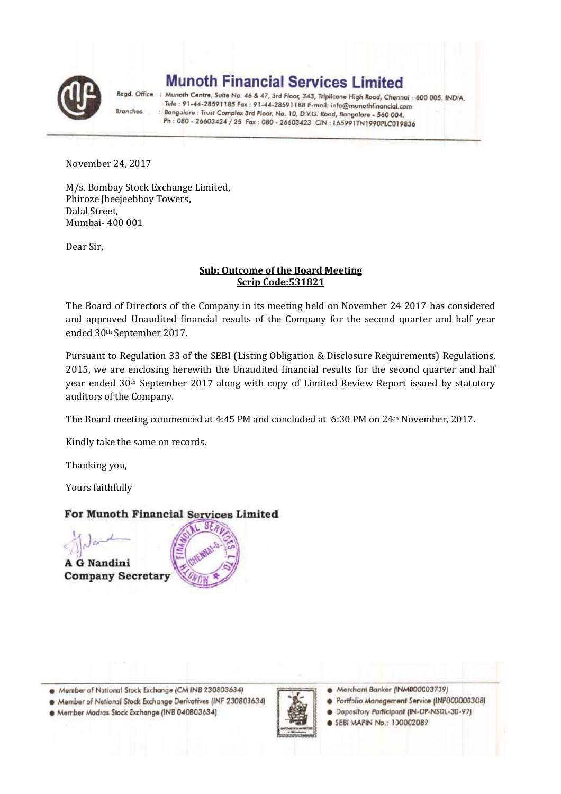

**Munoth Financial Services Limited** 

Regd. Office : Munoth Centre, Suite No. 46 & 47, 3rd Floor, 343, Triplicane High Road, Chennai - 600 005. INDIA. Tele : 91-44-28591185 Fax : 91-44-28591188 E-mail: info@munothfinancial.com Bangalore : Trust Complex 3rd Floor, No. 10, D.V.G. Road, Bangalore - 560 004. Ph: 080 - 26603424 / 25 Fax: 080 - 26603423 CIN: L65991TN1990PLC019836

November 24, 2017

Branches

M/s. Bombay Stock Exchange Limited, Phiroze Jheejeebhoy Towers, Dalal Street, Mumbai- 400 001

Dear Sir,

### **Sub: Outcome of the Board Meeting Scrip Code:531821**

The Board of Directors of the Company in its meeting held on November 24 2017 has considered and approved Unaudited financial results of the Company for the second quarter and half year ended 30th September 2017.

Pursuant to Regulation 33 of the SEBI (Listing Obligation & Disclosure Requirements) Regulations, 2015, we are enclosing herewith the Unaudited financial results for the second quarter and half year ended 30<sup>th</sup> September 2017 along with copy of Limited Review Report issued by statutory auditors of the Company.

The Board meeting commenced at 4:45 PM and concluded at 6:30 PM on 24th November, 2017.

Kindly take the same on records.

Thanking you,

Yours faithfully

## For Munoth Financial Services Limited



Member of National Stock Exchange (CM INB 230803634)

· Member of National Stock Exchange Derivatives (INF 230803634)

· Member Madras Stock Exchange (INB 040803634)



Merchant Banker (INM000003739)

Portfolio Management Service (INP000000308) ۸

· Depository Participant (IN-DP-NSDL-30-97) SEBI MAPIN Np.: 100002089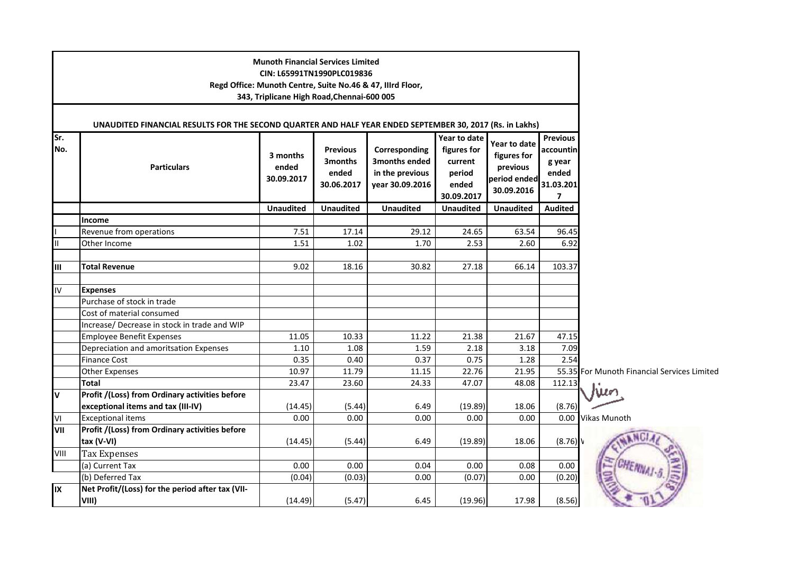| Sr.       | UNAUDITED FINANCIAL RESULTS FOR THE SECOND QUARTER AND HALF YEAR ENDED SEPTEMBER 30, 2017 (Rs. in Lakhs) | <b>Munoth Financial Services Limited</b><br>CIN: L65991TN1990PLC019836<br>343, Triplicane High Road, Chennai-600 005 |                                                   | Regd Office: Munoth Centre, Suite No.46 & 47, Illrd Floor,           | Year to date                                            | Year to date                                          | <b>Previous</b>                                |                                             |
|-----------|----------------------------------------------------------------------------------------------------------|----------------------------------------------------------------------------------------------------------------------|---------------------------------------------------|----------------------------------------------------------------------|---------------------------------------------------------|-------------------------------------------------------|------------------------------------------------|---------------------------------------------|
| No.       | <b>Particulars</b>                                                                                       | 3 months<br>ended<br>30.09.2017                                                                                      | <b>Previous</b><br>3months<br>ended<br>30.06.2017 | Corresponding<br>3months ended<br>in the previous<br>year 30.09.2016 | figures for<br>current<br>period<br>ended<br>30.09.2017 | figures for<br>previous<br>period ended<br>30.09.2016 | accountin<br>g year<br>ended<br>31.03.201<br>7 |                                             |
|           |                                                                                                          | <b>Unaudited</b>                                                                                                     | <b>Unaudited</b>                                  | <b>Unaudited</b>                                                     | <b>Unaudited</b>                                        | <b>Unaudited</b>                                      | <b>Audited</b>                                 |                                             |
|           | Income<br>Revenue from operations                                                                        | 7.51                                                                                                                 | 17.14                                             | 29.12                                                                | 24.65                                                   | 63.54                                                 | 96.45                                          |                                             |
| Ш         | Other Income                                                                                             | 1.51                                                                                                                 | 1.02                                              | 1.70                                                                 | 2.53                                                    | 2.60                                                  | 6.92                                           |                                             |
|           |                                                                                                          |                                                                                                                      |                                                   |                                                                      |                                                         |                                                       |                                                |                                             |
| Ш         | <b>Total Revenue</b>                                                                                     | 9.02                                                                                                                 | 18.16                                             | 30.82                                                                | 27.18                                                   | 66.14                                                 | 103.37                                         |                                             |
| IV.       | <b>Expenses</b>                                                                                          |                                                                                                                      |                                                   |                                                                      |                                                         |                                                       |                                                |                                             |
|           | Purchase of stock in trade                                                                               |                                                                                                                      |                                                   |                                                                      |                                                         |                                                       |                                                |                                             |
|           | Cost of material consumed                                                                                |                                                                                                                      |                                                   |                                                                      |                                                         |                                                       |                                                |                                             |
|           | Increase/ Decrease in stock in trade and WIP                                                             |                                                                                                                      |                                                   |                                                                      |                                                         |                                                       |                                                |                                             |
|           | <b>Employee Benefit Expenses</b>                                                                         | 11.05                                                                                                                | 10.33                                             | 11.22                                                                | 21.38                                                   | 21.67                                                 | 47.15                                          |                                             |
|           | Depreciation and amoritsation Expenses                                                                   | 1.10                                                                                                                 | 1.08                                              | 1.59                                                                 | 2.18                                                    | 3.18                                                  | 7.09                                           |                                             |
|           | <b>Finance Cost</b>                                                                                      | 0.35                                                                                                                 | 0.40                                              | 0.37                                                                 | 0.75                                                    | 1.28                                                  | 2.54                                           |                                             |
|           | Other Expenses                                                                                           | 10.97                                                                                                                | 11.79                                             | 11.15                                                                | 22.76                                                   | 21.95                                                 |                                                | 55.35 For Munoth Financial Services Limited |
|           | <b>Total</b>                                                                                             | 23.47                                                                                                                | 23.60                                             | 24.33                                                                | 47.07                                                   | 48.08                                                 | 112.13                                         |                                             |
| V         | Profit /(Loss) from Ordinary activities before                                                           |                                                                                                                      |                                                   |                                                                      |                                                         |                                                       |                                                |                                             |
|           | exceptional items and tax (III-IV)                                                                       | (14.45)                                                                                                              | (5.44)                                            | 6.49<br>0.00                                                         | (19.89)                                                 | 18.06<br>0.00                                         | (8.76)                                         |                                             |
| ٧I<br>VII | <b>Exceptional items</b><br>Profit /(Loss) from Ordinary activities before                               | 0.00                                                                                                                 | 0.00                                              |                                                                      | 0.00                                                    |                                                       | 0.00                                           | <b>Vikas Munoth</b>                         |
|           | tax (V-VI)                                                                                               | (14.45)                                                                                                              | (5.44)                                            | 6.49                                                                 | (19.89)                                                 | 18.06                                                 | (8.76)                                         |                                             |
| VIII      | <b>Tax Expenses</b>                                                                                      |                                                                                                                      |                                                   |                                                                      |                                                         |                                                       |                                                |                                             |
|           | (a) Current Tax                                                                                          | 0.00                                                                                                                 | 0.00                                              | 0.04                                                                 | 0.00                                                    | 0.08                                                  | 0.00                                           |                                             |
|           | (b) Deferred Tax                                                                                         | (0.04)                                                                                                               | (0.03)                                            | 0.00                                                                 | (0.07)                                                  | 0.00                                                  | (0.20)                                         |                                             |
| IX        | Net Profit/(Loss) for the period after tax (VII-<br>VIII)                                                | (14.49)                                                                                                              | (5.47)                                            | 6.45                                                                 | (19.96)                                                 | 17.98                                                 | (8.56)                                         |                                             |
|           |                                                                                                          |                                                                                                                      |                                                   |                                                                      |                                                         |                                                       |                                                |                                             |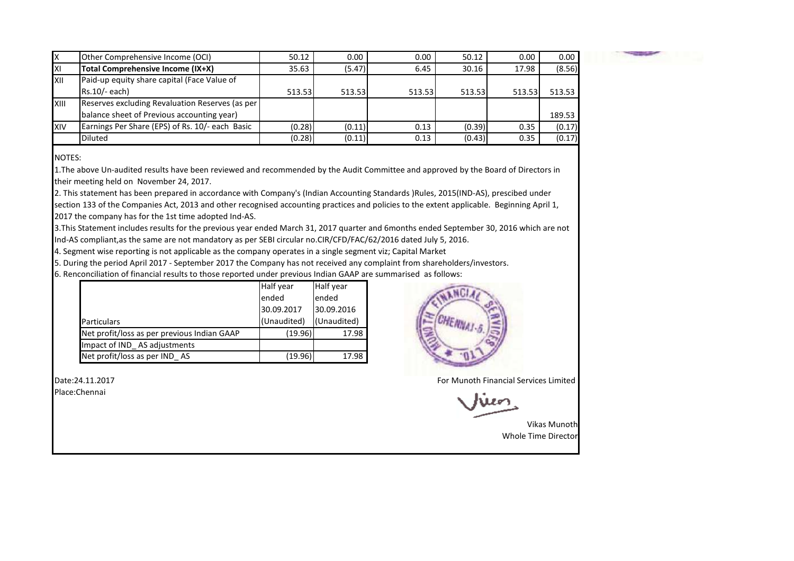|      | Other Comprehensive Income (OCI)                | 50.12  | 0.00   | 0.00   | 50.12  | 0.00   | 0.00   |
|------|-------------------------------------------------|--------|--------|--------|--------|--------|--------|
| ΙXΙ  | Total Comprehensive Income (IX+X)               | 35.63  | (5.47) | 6.45   | 30.16  | 17.98  | (8.56) |
| IXII | Paid-up equity share capital (Face Value of     |        |        |        |        |        |        |
|      | $Rs.10/- each$                                  | 513.53 | 513.53 | 513.53 | 513.53 | 513.53 | 513.53 |
| XIII | Reserves excluding Revaluation Reserves (as per |        |        |        |        |        |        |
|      | balance sheet of Previous accounting year)      |        |        |        |        |        | 189.53 |
| XIV  | Earnings Per Share (EPS) of Rs. 10/- each Basic | (0.28) | (0.11) | 0.13   | (0.39) | 0.35   | (0.17) |
|      | <b>Diluted</b>                                  | (0.28) | (0.11) | 0.13   | (0.43) | 0.35   | (0.17) |

NOTES:

 1.The above Un-audited results have been reviewed and recommended by the Audit Committee and approved by the Board of Directors in their meeting held on November 24, 2017.

2. This statement has been prepared in accordance with Company's (Indian Accounting Standards )Rules, 2015(IND-AS), prescibed under section 133 of the Companies Act, 2013 and other recognised accounting practices and policies to the extent applicable. Beginning April 1,

2017 the company has for the 1st time adopted Ind-AS.

3.This Statement includes results for the previous year ended March 31, 2017 quarter and 6months ended September 30, 2016 which are not Ind-AS compliant,as the same are not mandatory as per SEBI circular no.CIR/CFD/FAC/62/2016 dated July 5, 2016.

4. Segment wise reporting is not applicable as the company operates in a single segment viz; Capital Market

5. During the period April 2017 - September 2017 the Company has not received any complaint from shareholders/investors.

6. Renconciliation of financial results to those reported under previous Indian GAAP are summarised as follows:

|                                             | Half year   | Half year   |
|---------------------------------------------|-------------|-------------|
|                                             | ended       | ended       |
|                                             | 30.09.2017  | 30.09.2016  |
| <b>Particulars</b>                          | (Unaudited) | (Unaudited) |
| Net profit/loss as per previous Indian GAAP | (19.96)     | 17.98       |
| Impact of IND AS adjustments                |             |             |
| Net profit/loss as per IND_AS               | (19.96)     | 17.98       |



For Munoth Financial Services Limited

አዘደልግ

Vikas Munoth Whole Time Director

Date:24.11.2017

Place:Chennai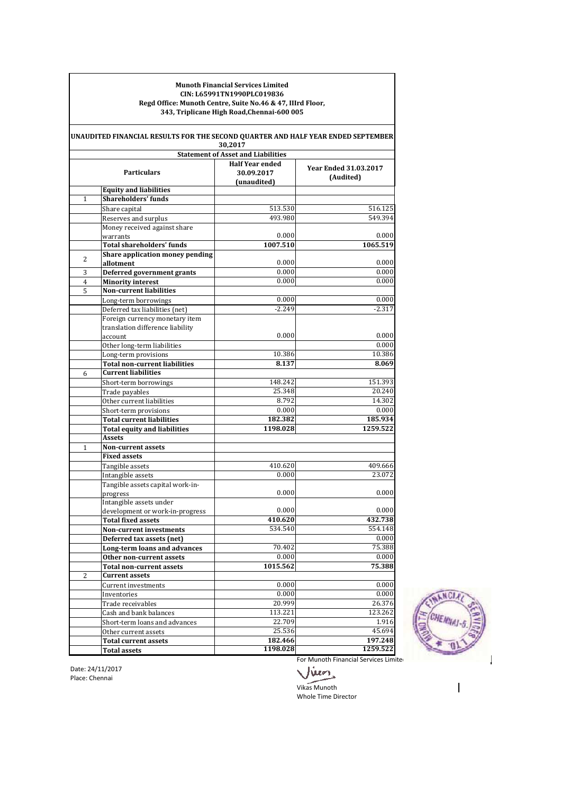#### **Munoth Financial Services Limited CIN: L65991TN1990PLC019836 Regd Office: Munoth Centre, Suite No.46 & 47, IIIrd Floor, 343, Triplicane High Road,Chennai-600 005**

|                | UNAUDITED FINANCIAL RESULTS FOR THE SECOND QUARTER AND HALF YEAR ENDED SEPTEMBER | 30,2017                                   |                              |
|----------------|----------------------------------------------------------------------------------|-------------------------------------------|------------------------------|
|                |                                                                                  | <b>Statement of Asset and Liabilities</b> |                              |
|                |                                                                                  | <b>Half Year ended</b>                    | <b>Year Ended 31.03.2017</b> |
|                | <b>Particulars</b>                                                               | 30.09.2017                                | (Audited)                    |
|                |                                                                                  | (unaudited)                               |                              |
|                | <b>Equity and liabilities</b>                                                    |                                           |                              |
| 1              | <b>Shareholders' funds</b>                                                       |                                           |                              |
|                | Share capital                                                                    | 513.530                                   | 516.125                      |
|                | Reserves and surplus                                                             | 493.980                                   | 549.394                      |
|                | Money received against share                                                     |                                           |                              |
|                | warrants                                                                         | 0.000                                     | 0.000                        |
|                | <b>Total shareholders' funds</b>                                                 | 1007.510                                  | 1065.519                     |
| 2              | Share application money pending                                                  |                                           |                              |
|                | allotment                                                                        | 0.000                                     | 0.000                        |
| 3              | <b>Deferred government grants</b>                                                | 0.000                                     | 0.000                        |
| $\overline{4}$ | <b>Minority interest</b>                                                         | 0.000                                     | 0.000                        |
| $\overline{5}$ | <b>Non-current liabilities</b>                                                   |                                           |                              |
|                | Long-term borrowings                                                             | 0.000                                     | 0.000                        |
|                | Deferred tax liabilities (net)                                                   | $-2.249$                                  | $-2.317$                     |
|                | Foreign currency monetary item                                                   |                                           |                              |
|                | translation difference liability                                                 |                                           |                              |
|                | account                                                                          | 0.000                                     | 0.000                        |
|                | Other long-term liabilities                                                      |                                           | 0.000                        |
|                | Long-term provisions                                                             | 10.386                                    | 10.386                       |
|                | Total non-current liabilities                                                    | 8.137                                     | 8.069                        |
| 6              | <b>Current liabilities</b>                                                       |                                           |                              |
|                | Short-term borrowings                                                            | 148.242                                   | 151.393                      |
|                | Trade payables                                                                   | 25.348                                    | 20.240                       |
|                | Other current liabilities                                                        | 8.792                                     | 14.302                       |
|                | Short-term provisions                                                            | 0.000                                     | 0.000                        |
|                | <b>Total current liabilities</b>                                                 | 182.382                                   | 185.934                      |
|                | <b>Total equity and liabilities</b>                                              | 1198.028                                  | 1259.522                     |
|                | Assets                                                                           |                                           |                              |
| 1              | Non-current assets                                                               |                                           |                              |
|                | <b>Fixed assets</b>                                                              |                                           |                              |
|                | Tangible assets                                                                  | 410.620                                   | 409.666                      |
|                | Intangible assets                                                                | 0.000                                     | 23.072                       |
|                | Tangible assets capital work-in-                                                 |                                           |                              |
|                | progress                                                                         | 0.000                                     | 0.000                        |
|                | Intangible assets under                                                          |                                           |                              |
|                | development or work-in-progress                                                  | 0.000                                     | 0.000                        |
|                | <b>Total fixed assets</b>                                                        | 410.620                                   | 432.738                      |
|                | <b>Non-current investments</b>                                                   | 534.540                                   | 554.148                      |
|                | Deferred tax assets (net)                                                        |                                           | 0.000                        |
|                | Long-term loans and advances                                                     | 70.402                                    | 75.388                       |
|                | Other non-current assets                                                         | 0.000                                     | 0.000                        |
|                | <b>Total non-current assets</b>                                                  | 1015.562                                  | 75.388                       |
| $\overline{2}$ | <b>Current assets</b>                                                            |                                           |                              |
|                | Current investments                                                              | 0.000                                     | 0.000                        |
|                | Inventories                                                                      | 0.000                                     | 0.000                        |
|                | Trade receivables                                                                | 20.999                                    | 26.376                       |
|                | Cash and bank balances                                                           | 113.221                                   | 123.262                      |
|                | Short-term loans and advances                                                    | 22.709                                    | 1.916                        |
|                | Other current assets                                                             | 25.536                                    | 45.694                       |
|                | <b>Total current assets</b>                                                      | 182.466                                   | 197.248                      |
|                | <b>Total assets</b>                                                              | 1198.028                                  | 1259.522                     |



Date: 24/11/2017 Place: Chennai

For Munoth Financial Services Limited Jien

Whole Time Director Vikas Munoth

 $\overline{\phantom{a}}$